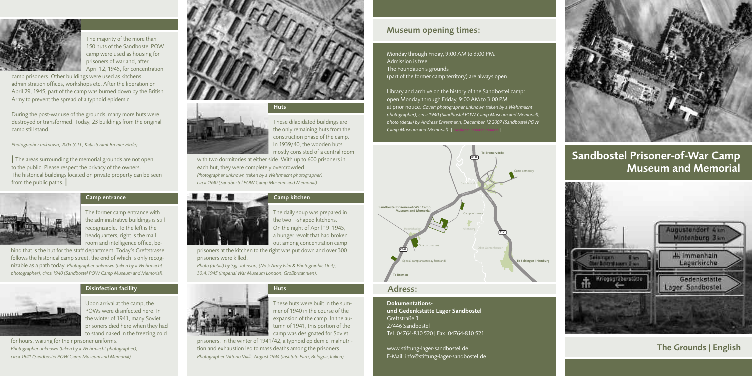The former camp entrance with the administrative buildings is still recognizable. To the left is the headquarters, right is the mail room and intelligence office, be-

hind that is the hut for the staff department. Today's Greftstrasse follows the historical camp street, the end of which is only recognizable as a path today. *Photographer unknown (taken by a Wehrmacht photographer), circa 1940 (Sandbostel POW Camp Museum and Memorial).*

> Upon arrival at the camp, the POWs were disinfected here. In the winter of 1941, many Soviet prisoners died here when they had to stand naked in the freezing cold

for hours, waiting for their prisoner uniforms. *Photographer unknown (taken by a Wehrmacht photographer), circa 1941 (Sandbostel POW Camp Museum and Memorial).*



These dilapidated buildings are the only remaining huts from the construction phase of the camp. In 1939/40, the wooden huts mostly consisted of a central room

with two dormitories at either side. With up to 600 prisoners in each hut, they were completely overcrowded. *Photographer unknown (taken by a Wehrmacht photographer), circa 1940 (Sandbostel POW Camp Museum and Memorial).*



The daily soup was prepared in the two T-shaped kitchens. On the night of April 19, 1945, a hunger revolt that had broken out among concentration camp

prisoners at the kitchen to the right was put down and over 300 prisoners were killed.

*Photo (detail) by Sgj. Johnson, (No 5 Army Film & Photographic Unit), 30.4.1945 (Imperial War Museum London, Großbritannien).*



Library and archive on the history of the Sandbostel camp: open Monday through Friday, 9:00 AM to 3:00 PM at prior notice. *Cover: photographer unknown (taken by a Wehrmacht photographer), circa 1940 (Sandbostel POW Camp Museum and Memorial); photo (detail) by Andreas Ehresmann, December 12 2007 (Sandbostel POW Camp Museum and Memorial*).  $\vert$ 



mer of 1940 in the course of the expansion of the camp. In the autumn of 1941, this portion of the camp was designated for Soviet

prisoners. In the winter of 1941/42, a typhoid epidemic, malnutrition and exhaustion led to mass deaths among the prisoners. *Photographer Vittorio Vialli, August 1944 (Instituto Parri, Bologna, Italien).*

#### **Camp kitchen**





**Huts**





The majority of the more than 150 huts of the Sandbostel POW camp were used as housing for prisoners of war and, after April 12, 1945, for concentration

camp prisoners. Other buildings were used as kitchens, administration offices, workshops etc. After the liberation on April 29, 1945, part of the camp was burned down by the British Army to prevent the spread of a typhoid epidemic.

During the post-war use of the grounds, many more huts were destroyed or transformed. Today, 23 buildings from the original camp still stand.

*Photographer unknown, 2003 (GLL, Katasteramt Bremervörde).*

**|** The areas surrounding the memorial grounds are not open to the public. Please respect the privacy of the owners. The historical buildings located on private property can be seen from the public paths. **|**



#### **Huts**

#### **Camp entrance**

#### **Museum opening times:**

Monday through Friday, 9:00 AM to 3:00 PM. Admission is free. The Foundation's grounds (part of the former camp territory) are always open.

#### **Dokumentations-**

**und Gedenkstätte Lager Sandbostel** Greftstraße 3 27446 Sandbostel Tel. 04764-810 520 | Fax. 04764-810 521

www.stiftung-lager-sandbostel.de E-Mail: info@stiftung-lager-sandbostel.de



# **Sandbostel Prisoner-of-War Camp Museum and Memorial**



## **The Grounds | English**

### **Adress:**